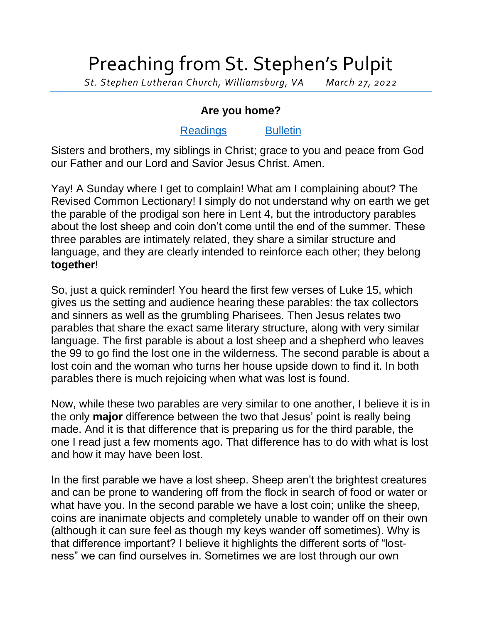## Preaching from St. Stephen's Pulpit

*St. Stephen Lutheran Church, Williamsburg, VA March 27, 2022*

## **Are you home?**

## [Readings](https://lectionary.library.vanderbilt.edu/texts.php?id=120) [Bulletin](http://www.saintstephenlutheran.net/sunday-bulletins/)

Sisters and brothers, my siblings in Christ; grace to you and peace from God our Father and our Lord and Savior Jesus Christ. Amen.

Yay! A Sunday where I get to complain! What am I complaining about? The Revised Common Lectionary! I simply do not understand why on earth we get the parable of the prodigal son here in Lent 4, but the introductory parables about the lost sheep and coin don't come until the end of the summer. These three parables are intimately related, they share a similar structure and language, and they are clearly intended to reinforce each other; they belong **together**!

So, just a quick reminder! You heard the first few verses of Luke 15, which gives us the setting and audience hearing these parables: the tax collectors and sinners as well as the grumbling Pharisees. Then Jesus relates two parables that share the exact same literary structure, along with very similar language. The first parable is about a lost sheep and a shepherd who leaves the 99 to go find the lost one in the wilderness. The second parable is about a lost coin and the woman who turns her house upside down to find it. In both parables there is much rejoicing when what was lost is found.

Now, while these two parables are very similar to one another, I believe it is in the only **major** difference between the two that Jesus' point is really being made. And it is that difference that is preparing us for the third parable, the one I read just a few moments ago. That difference has to do with what is lost and how it may have been lost.

In the first parable we have a lost sheep. Sheep aren't the brightest creatures and can be prone to wandering off from the flock in search of food or water or what have you. In the second parable we have a lost coin; unlike the sheep, coins are inanimate objects and completely unable to wander off on their own (although it can sure feel as though my keys wander off sometimes). Why is that difference important? I believe it highlights the different sorts of "lostness" we can find ourselves in. Sometimes we are lost through our own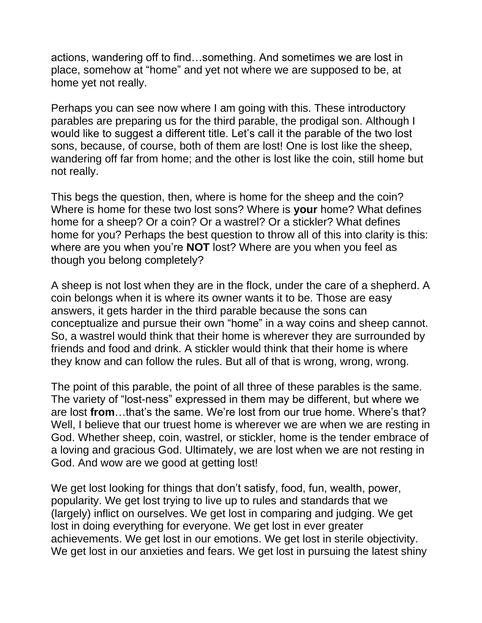actions, wandering off to find…something. And sometimes we are lost in place, somehow at "home" and yet not where we are supposed to be, at home yet not really.

Perhaps you can see now where I am going with this. These introductory parables are preparing us for the third parable, the prodigal son. Although I would like to suggest a different title. Let's call it the parable of the two lost sons, because, of course, both of them are lost! One is lost like the sheep, wandering off far from home; and the other is lost like the coin, still home but not really.

This begs the question, then, where is home for the sheep and the coin? Where is home for these two lost sons? Where is **your** home? What defines home for a sheep? Or a coin? Or a wastrel? Or a stickler? What defines home for you? Perhaps the best question to throw all of this into clarity is this: where are you when you're **NOT** lost? Where are you when you feel as though you belong completely?

A sheep is not lost when they are in the flock, under the care of a shepherd. A coin belongs when it is where its owner wants it to be. Those are easy answers, it gets harder in the third parable because the sons can conceptualize and pursue their own "home" in a way coins and sheep cannot. So, a wastrel would think that their home is wherever they are surrounded by friends and food and drink. A stickler would think that their home is where they know and can follow the rules. But all of that is wrong, wrong, wrong.

The point of this parable, the point of all three of these parables is the same. The variety of "lost-ness" expressed in them may be different, but where we are lost **from**…that's the same. We're lost from our true home. Where's that? Well. I believe that our truest home is wherever we are when we are resting in God. Whether sheep, coin, wastrel, or stickler, home is the tender embrace of a loving and gracious God. Ultimately, we are lost when we are not resting in God. And wow are we good at getting lost!

We get lost looking for things that don't satisfy, food, fun, wealth, power, popularity. We get lost trying to live up to rules and standards that we (largely) inflict on ourselves. We get lost in comparing and judging. We get lost in doing everything for everyone. We get lost in ever greater achievements. We get lost in our emotions. We get lost in sterile objectivity. We get lost in our anxieties and fears. We get lost in pursuing the latest shiny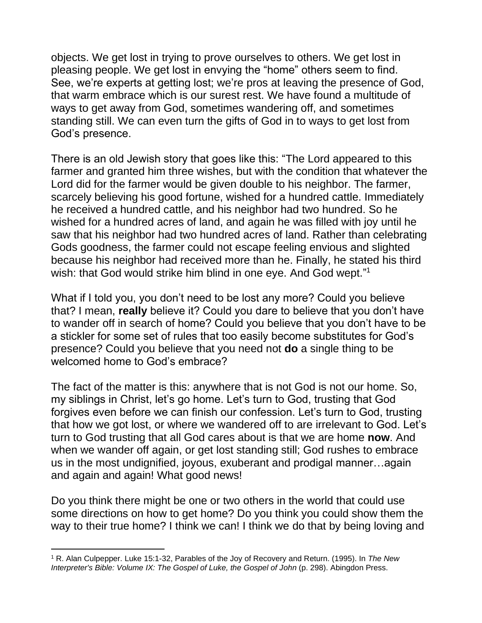objects. We get lost in trying to prove ourselves to others. We get lost in pleasing people. We get lost in envying the "home" others seem to find. See, we're experts at getting lost; we're pros at leaving the presence of God, that warm embrace which is our surest rest. We have found a multitude of ways to get away from God, sometimes wandering off, and sometimes standing still. We can even turn the gifts of God in to ways to get lost from God's presence.

There is an old Jewish story that goes like this: "The Lord appeared to this farmer and granted him three wishes, but with the condition that whatever the Lord did for the farmer would be given double to his neighbor. The farmer, scarcely believing his good fortune, wished for a hundred cattle. Immediately he received a hundred cattle, and his neighbor had two hundred. So he wished for a hundred acres of land, and again he was filled with joy until he saw that his neighbor had two hundred acres of land. Rather than celebrating Gods goodness, the farmer could not escape feeling envious and slighted because his neighbor had received more than he. Finally, he stated his third wish: that God would strike him blind in one eye. And God wept."<sup>1</sup>

What if I told you, you don't need to be lost any more? Could you believe that? I mean, **really** believe it? Could you dare to believe that you don't have to wander off in search of home? Could you believe that you don't have to be a stickler for some set of rules that too easily become substitutes for God's presence? Could you believe that you need not **do** a single thing to be welcomed home to God's embrace?

The fact of the matter is this: anywhere that is not God is not our home. So, my siblings in Christ, let's go home. Let's turn to God, trusting that God forgives even before we can finish our confession. Let's turn to God, trusting that how we got lost, or where we wandered off to are irrelevant to God. Let's turn to God trusting that all God cares about is that we are home **now**. And when we wander off again, or get lost standing still; God rushes to embrace us in the most undignified, joyous, exuberant and prodigal manner…again and again and again! What good news!

Do you think there might be one or two others in the world that could use some directions on how to get home? Do you think you could show them the way to their true home? I think we can! I think we do that by being loving and

<sup>1</sup> R. Alan Culpepper. Luke 15:1-32, Parables of the Joy of Recovery and Return. (1995). In *The New Interpreter's Bible: Volume IX: The Gospel of Luke, the Gospel of John* (p. 298). Abingdon Press.